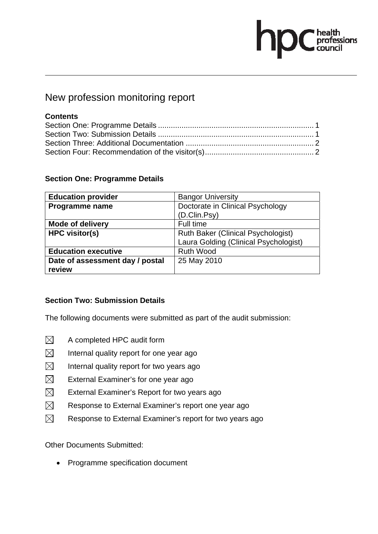# $\begin{tabular}{|c|c|} \hline healthprofessionscountil \\ \hline \end{tabular}$

### New profession monitoring report

#### **Contents**

#### **Section One: Programme Details**

| <b>Education provider</b>       | <b>Bangor University</b>                  |
|---------------------------------|-------------------------------------------|
| Programme name                  | Doctorate in Clinical Psychology          |
|                                 | (D.Clin.Psy)                              |
| <b>Mode of delivery</b>         | Full time                                 |
| <b>HPC visitor(s)</b>           | <b>Ruth Baker (Clinical Psychologist)</b> |
|                                 | Laura Golding (Clinical Psychologist)     |
| <b>Education executive</b>      | <b>Ruth Wood</b>                          |
| Date of assessment day / postal | 25 May 2010                               |
| review                          |                                           |

#### **Section Two: Submission Details**

The following documents were submitted as part of the audit submission:

- $\boxtimes$  A completed HPC audit form
- $\boxtimes$  Internal quality report for one year ago
- $\boxtimes$  Internal quality report for two years ago
- $\boxtimes$  External Examiner's for one year ago
- $\boxtimes$  External Examiner's Report for two years ago
- $\boxtimes$  Response to External Examiner's report one year ago
- $\boxtimes$  Response to External Examiner's report for two years ago

Other Documents Submitted:

• Programme specification document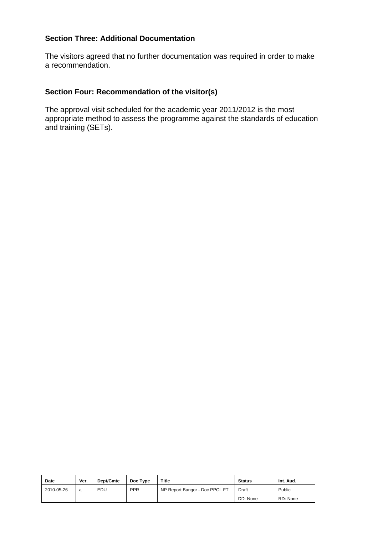The visitors agreed that no further documentation was required in order to make a recommendation.

#### **Section Four: Recommendation of the visitor(s)**

| <b>Date</b> | Ver. | Dept/Cmte | Doc Type   | <b>Title</b>                   | <b>Status</b> | Int. Aud. |
|-------------|------|-----------|------------|--------------------------------|---------------|-----------|
| 2010-05-26  | a    | EDU       | <b>PPR</b> | NP Report Bangor - Doc PPCL FT | Draft         | Public    |
|             |      |           |            |                                | DD: None      | RD: None  |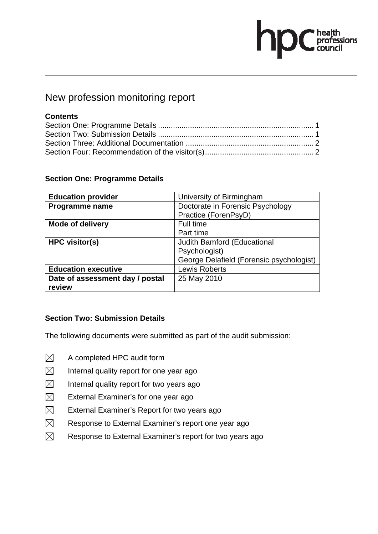# $\sum$ C health<br>council

### New profession monitoring report

#### **Contents**

#### **Section One: Programme Details**

| <b>Education provider</b>       | University of Birmingham                 |
|---------------------------------|------------------------------------------|
| Programme name                  | Doctorate in Forensic Psychology         |
|                                 | Practice (ForenPsyD)                     |
| <b>Mode of delivery</b>         | Full time                                |
|                                 | Part time                                |
| <b>HPC visitor(s)</b>           | <b>Judith Bamford (Educational</b>       |
|                                 | Psychologist)                            |
|                                 | George Delafield (Forensic psychologist) |
| <b>Education executive</b>      | <b>Lewis Roberts</b>                     |
| Date of assessment day / postal | 25 May 2010                              |
| review                          |                                          |

#### **Section Two: Submission Details**

- $\boxtimes$  A completed HPC audit form
- $\boxtimes$  Internal quality report for one year ago
- $\boxtimes$  Internal quality report for two years ago
- $\boxtimes$  External Examiner's for one year ago
- $\boxtimes$  External Examiner's Report for two years ago
- $\boxtimes$  Response to External Examiner's report one year ago
- $\boxtimes$  Response to External Examiner's report for two years ago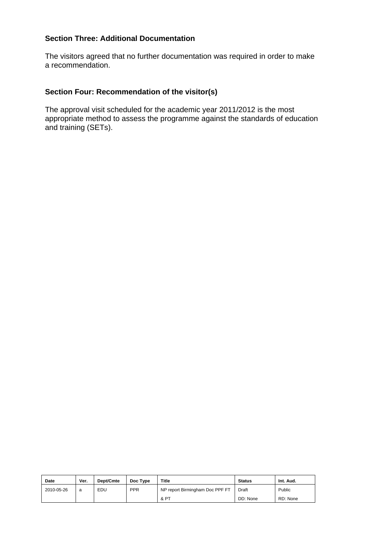The visitors agreed that no further documentation was required in order to make a recommendation.

#### **Section Four: Recommendation of the visitor(s)**

| <b>Date</b> | Ver. | Dept/Cmte | Doc Type   | <b>Title</b>                    | <b>Status</b> | Int. Aud. |
|-------------|------|-----------|------------|---------------------------------|---------------|-----------|
| 2010-05-26  | a    | EDU       | <b>PPR</b> | NP report Birmingham Doc PPF FT | Draft         | Public    |
|             |      |           |            | & PT                            | DD: None      | RD: None  |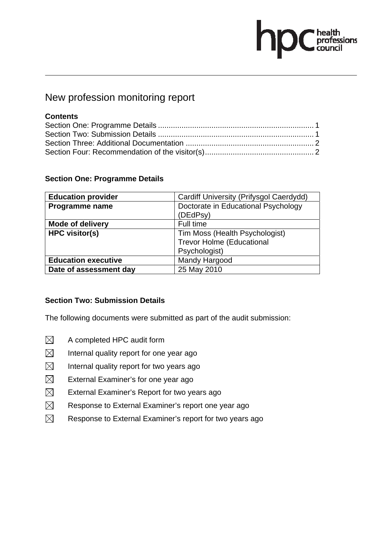# $\begin{tabular}{|c|c|} \hline healthprofessionscountil \\ \hline \end{tabular}$

### New profession monitoring report

#### **Contents**

#### **Section One: Programme Details**

| <b>Education provider</b>  | Cardiff University (Prifysgol Caerdydd) |  |  |
|----------------------------|-----------------------------------------|--|--|
| Programme name             | Doctorate in Educational Psychology     |  |  |
|                            | (DEdPsy)                                |  |  |
| <b>Mode of delivery</b>    | Full time                               |  |  |
| <b>HPC visitor(s)</b>      | Tim Moss (Health Psychologist)          |  |  |
|                            | <b>Trevor Holme (Educational</b>        |  |  |
|                            | Psychologist)                           |  |  |
| <b>Education executive</b> | Mandy Hargood                           |  |  |
| Date of assessment day     | 25 May 2010                             |  |  |

#### **Section Two: Submission Details**

- $\boxtimes$  A completed HPC audit form
- $\boxtimes$  Internal quality report for one year ago
- $\boxtimes$  Internal quality report for two years ago
- $\boxtimes$  External Examiner's for one year ago
- $\boxtimes$  External Examiner's Report for two years ago
- $\boxtimes$  Response to External Examiner's report one year ago
- $\boxtimes$  Response to External Examiner's report for two years ago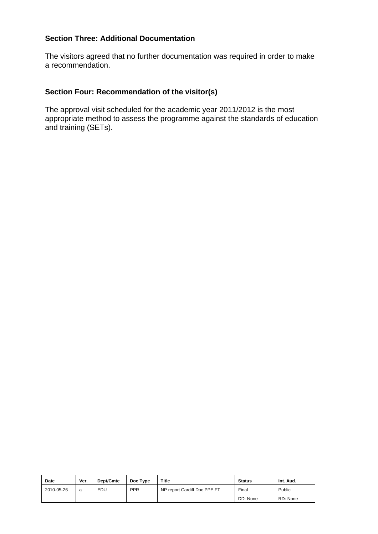The visitors agreed that no further documentation was required in order to make a recommendation.

#### **Section Four: Recommendation of the visitor(s)**

| <b>Date</b> | Ver. | Dept/Cmte | Doc Type   | Title                        | <b>Status</b> | Int. Aud. |
|-------------|------|-----------|------------|------------------------------|---------------|-----------|
| 2010-05-26  | a    | EDU       | <b>PPR</b> | NP report Cardiff Doc PPE FT | Final         | Public    |
|             |      |           |            |                              | DD: None      | RD: None  |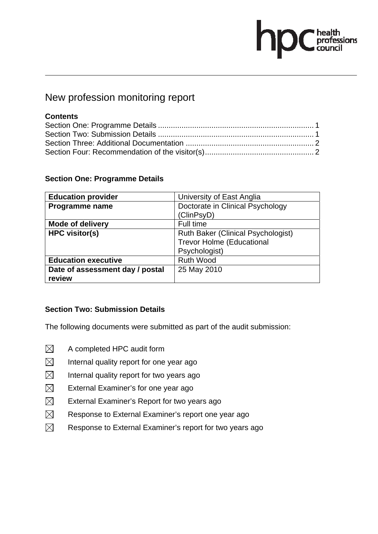# **OC** health<br>council

### New profession monitoring report

#### **Contents**

#### **Section One: Programme Details**

| <b>Education provider</b>       | University of East Anglia                 |
|---------------------------------|-------------------------------------------|
| Programme name                  | Doctorate in Clinical Psychology          |
|                                 | (ClinPsyD)                                |
| <b>Mode of delivery</b>         | Full time                                 |
| <b>HPC visitor(s)</b>           | <b>Ruth Baker (Clinical Psychologist)</b> |
|                                 | <b>Trevor Holme (Educational</b>          |
|                                 | Psychologist)                             |
| <b>Education executive</b>      | <b>Ruth Wood</b>                          |
| Date of assessment day / postal | 25 May 2010                               |
| review                          |                                           |

#### **Section Two: Submission Details**

- $\boxtimes$  A completed HPC audit form
- $\boxtimes$  Internal quality report for one year ago
- $\boxtimes$  Internal quality report for two years ago
- $\boxtimes$  External Examiner's for one year ago
- $\boxtimes$  External Examiner's Report for two years ago
- $\boxtimes$  Response to External Examiner's report one year ago
- $\boxtimes$  Response to External Examiner's report for two years ago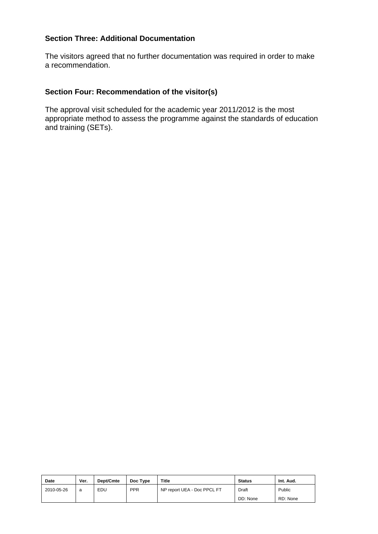The visitors agreed that no further documentation was required in order to make a recommendation.

#### **Section Four: Recommendation of the visitor(s)**

| <b>Date</b> | Ver. | Dept/Cmte | Doc Type   | Title                       | <b>Status</b> | Int. Aud. |
|-------------|------|-----------|------------|-----------------------------|---------------|-----------|
| 2010-05-26  | a    | EDU       | <b>PPR</b> | NP report UEA - Doc PPCL FT | Draft         | Public    |
|             |      |           |            |                             | DD: None      | RD: None  |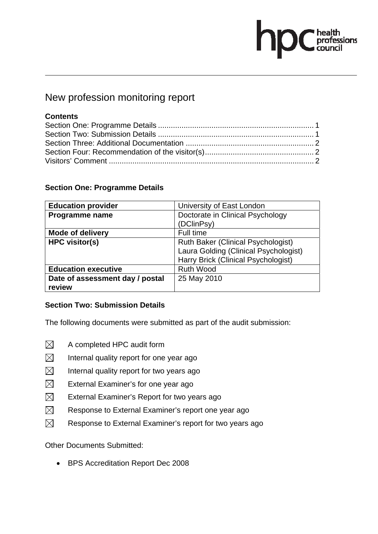# health<br>professions<br>council

### New profession monitoring report

#### **Contents**

#### **Section One: Programme Details**

| <b>Education provider</b>       | University of East London                 |  |
|---------------------------------|-------------------------------------------|--|
| Programme name                  | Doctorate in Clinical Psychology          |  |
|                                 | (DClinPsy)                                |  |
| <b>Mode of delivery</b>         | Full time                                 |  |
| <b>HPC visitor(s)</b>           | <b>Ruth Baker (Clinical Psychologist)</b> |  |
|                                 | Laura Golding (Clinical Psychologist)     |  |
|                                 | Harry Brick (Clinical Psychologist)       |  |
| <b>Education executive</b>      | <b>Ruth Wood</b>                          |  |
| Date of assessment day / postal | 25 May 2010                               |  |
| review                          |                                           |  |

#### **Section Two: Submission Details**

The following documents were submitted as part of the audit submission:

- $\boxtimes$  A completed HPC audit form
- $\boxtimes$  Internal quality report for one year ago
- $\boxtimes$  Internal quality report for two years ago
- $\boxtimes$  External Examiner's for one year ago
- $\boxtimes$  External Examiner's Report for two years ago
- $\boxtimes$  Response to External Examiner's report one year ago
- $\boxtimes$  Response to External Examiner's report for two years ago

Other Documents Submitted:

• BPS Accreditation Report Dec 2008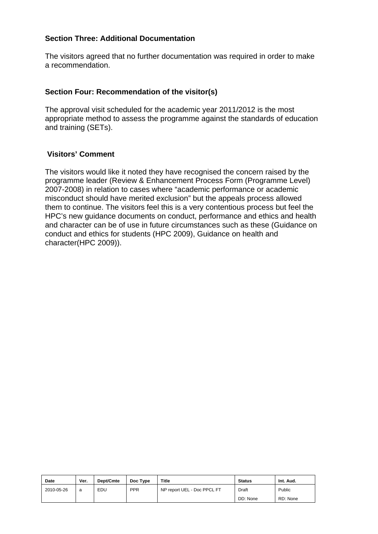The visitors agreed that no further documentation was required in order to make a recommendation.

#### **Section Four: Recommendation of the visitor(s)**

The approval visit scheduled for the academic year 2011/2012 is the most appropriate method to assess the programme against the standards of education and training (SETs).

#### **Visitors' Comment**

The visitors would like it noted they have recognised the concern raised by the programme leader (Review & Enhancement Process Form (Programme Level) 2007-2008) in relation to cases where "academic performance or academic misconduct should have merited exclusion" but the appeals process allowed them to continue. The visitors feel this is a very contentious process but feel the HPC's new guidance documents on conduct, performance and ethics and health and character can be of use in future circumstances such as these (Guidance on conduct and ethics for students (HPC 2009), Guidance on health and character(HPC 2009)).

| Date       | Ver. | Dept/Cmte | Doc Type   | Title                       | <b>Status</b> | Int. Aud. |
|------------|------|-----------|------------|-----------------------------|---------------|-----------|
| 2010-05-26 | a    | EDU       | <b>PPR</b> | NP report UEL - Doc PPCL FT | Draft         | Public    |
|            |      |           |            |                             | DD: None      | RD: None  |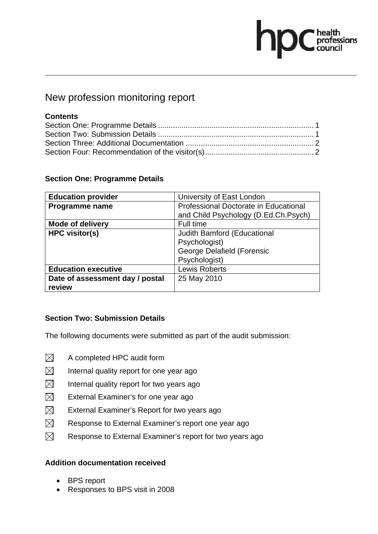# $\sum$ C health<br>C professions

### New profession monitoring report

#### **Contents**

#### **Section One: Programme Details**

| <b>Education provider</b>       | University of East London             |
|---------------------------------|---------------------------------------|
| Programme name                  | Professional Doctorate in Educational |
|                                 | and Child Psychology (D.Ed.Ch.Psych)  |
| <b>Mode of delivery</b>         | Full time                             |
| <b>HPC visitor(s)</b>           | Judith Bamford (Educational           |
|                                 | Psychologist)                         |
|                                 | George Delafield (Forensic            |
|                                 | Psychologist)                         |
| <b>Education executive</b>      | <b>Lewis Roberts</b>                  |
| Date of assessment day / postal | 25 May 2010                           |
| review                          |                                       |

#### **Section Two: Submission Details**

The following documents were submitted as part of the audit submission:

- $\boxtimes$  A completed HPC audit form
- $\boxtimes$  Internal quality report for one year ago
- $\boxtimes$  Internal quality report for two years ago
- $\boxtimes$  External Examiner's for one year ago
- $\boxtimes$  External Examiner's Report for two years ago
- $\boxtimes$  Response to External Examiner's report one year ago
- $\boxtimes$  Response to External Examiner's report for two years ago

#### **Addition documentation received**

- BPS report
- Responses to BPS visit in 2008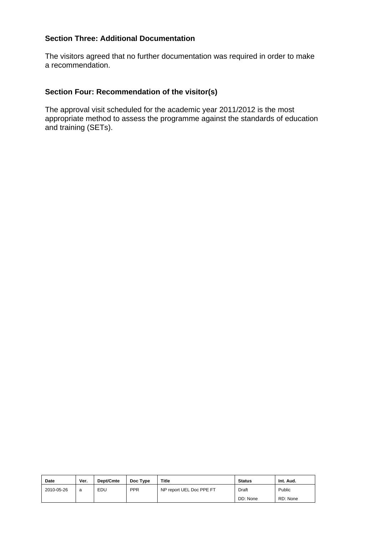The visitors agreed that no further documentation was required in order to make a recommendation.

#### **Section Four: Recommendation of the visitor(s)**

| <b>Date</b> | Ver. | Dept/Cmte | Doc Type   | Title                    | <b>Status</b> | Int. Aud. |
|-------------|------|-----------|------------|--------------------------|---------------|-----------|
| 2010-05-26  | a    | EDU       | <b>PPR</b> | NP report UEL Doc PPE FT | Draft         | Public    |
|             |      |           |            |                          | DD: None      | RD: None  |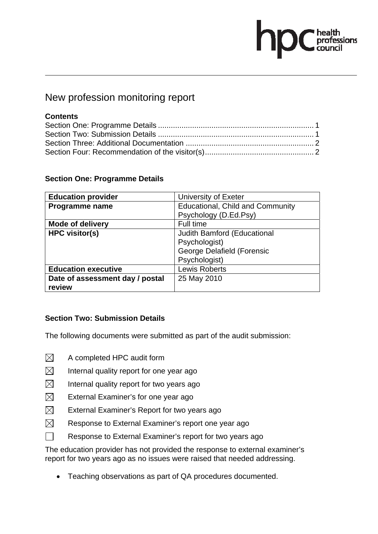# health<br>professions<br>council

### New profession monitoring report

#### **Contents**

#### **Section One: Programme Details**

| <b>Education provider</b>       | University of Exeter                    |
|---------------------------------|-----------------------------------------|
| Programme name                  | <b>Educational, Child and Community</b> |
|                                 | Psychology (D.Ed.Psy)                   |
| <b>Mode of delivery</b>         | Full time                               |
| <b>HPC visitor(s)</b>           | Judith Bamford (Educational             |
|                                 | Psychologist)                           |
|                                 | <b>George Delafield (Forensic</b>       |
|                                 | Psychologist)                           |
| <b>Education executive</b>      | <b>Lewis Roberts</b>                    |
| Date of assessment day / postal | 25 May 2010                             |
| review                          |                                         |

#### **Section Two: Submission Details**

The following documents were submitted as part of the audit submission:

- $\boxtimes$  A completed HPC audit form
- $\boxtimes$  Internal quality report for one year ago
- $\boxtimes$  Internal quality report for two years ago
- $\boxtimes$  External Examiner's for one year ago
- $\boxtimes$  External Examiner's Report for two years ago
- $\boxtimes$  Response to External Examiner's report one year ago
- $\Box$  Response to External Examiner's report for two years ago

The education provider has not provided the response to external examiner's report for two years ago as no issues were raised that needed addressing.

• Teaching observations as part of QA procedures documented.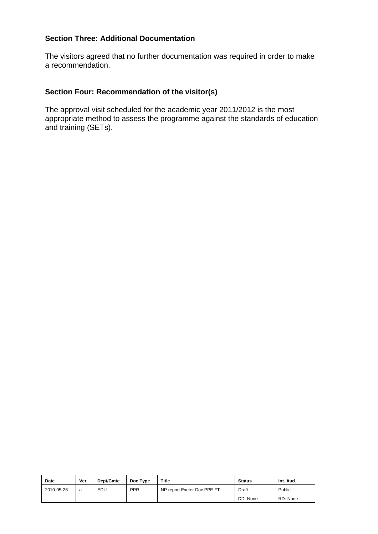The visitors agreed that no further documentation was required in order to make a recommendation.

#### **Section Four: Recommendation of the visitor(s)**

| Date       | Ver. | Dept/Cmte | Doc Type   | <b>Title</b>                | <b>Status</b> | Int. Aud. |
|------------|------|-----------|------------|-----------------------------|---------------|-----------|
| 2010-05-26 | a    | EDU       | <b>PPR</b> | NP report Exeter Doc PPE FT | Draft         | Public    |
|            |      |           |            |                             | DD: None      | RD: None  |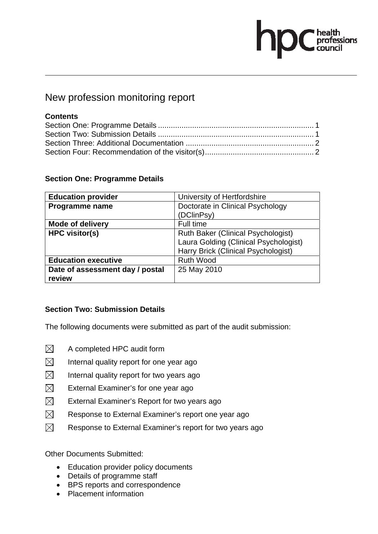# health<br>professions

### New profession monitoring report

#### **Contents**

#### **Section One: Programme Details**

| <b>Education provider</b>       | University of Hertfordshire               |
|---------------------------------|-------------------------------------------|
| Programme name                  | Doctorate in Clinical Psychology          |
|                                 | (DClinPsy)                                |
| <b>Mode of delivery</b>         | Full time                                 |
| <b>HPC visitor(s)</b>           | <b>Ruth Baker (Clinical Psychologist)</b> |
|                                 | Laura Golding (Clinical Psychologist)     |
|                                 | Harry Brick (Clinical Psychologist)       |
| <b>Education executive</b>      | <b>Ruth Wood</b>                          |
| Date of assessment day / postal | 25 May 2010                               |
| review                          |                                           |

#### **Section Two: Submission Details**

The following documents were submitted as part of the audit submission:

- $\boxtimes$  A completed HPC audit form
- $\boxtimes$  Internal quality report for one year ago
- $\boxtimes$  Internal quality report for two years ago
- $\boxtimes$  External Examiner's for one year ago
- $\boxtimes$  External Examiner's Report for two years ago
- $\boxtimes$  Response to External Examiner's report one year ago
- $\boxtimes$  Response to External Examiner's report for two years ago

Other Documents Submitted:

- Education provider policy documents
- Details of programme staff
- BPS reports and correspondence
- Placement information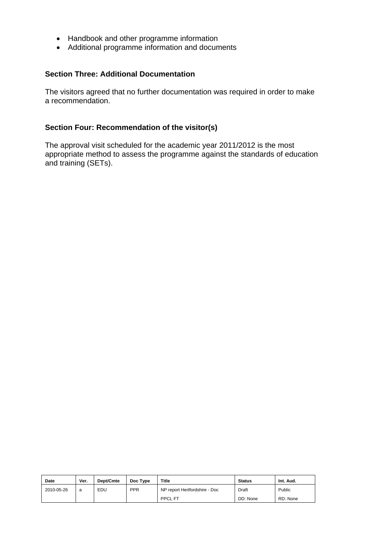- Handbook and other programme information
- Additional programme information and documents

The visitors agreed that no further documentation was required in order to make a recommendation.

#### **Section Four: Recommendation of the visitor(s)**

| <b>Date</b> | Ver. | Dept/Cmte | Doc Type   | Title                         | <b>Status</b> | Int. Aud. |
|-------------|------|-----------|------------|-------------------------------|---------------|-----------|
| 2010-05-26  | a    | EDU       | <b>PPR</b> | NP report Hertfordshire - Doc | Draft         | Public    |
|             |      |           |            | <b>PPCL FT</b>                | DD: None      | RD: None  |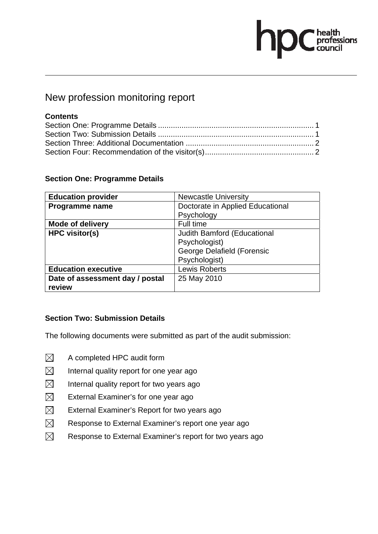# $\sum$ C health<br>council

### New profession monitoring report

#### **Contents**

#### **Section One: Programme Details**

| <b>Education provider</b>       | <b>Newcastle University</b>      |
|---------------------------------|----------------------------------|
| Programme name                  | Doctorate in Applied Educational |
|                                 | Psychology                       |
| <b>Mode of delivery</b>         | Full time                        |
| <b>HPC visitor(s)</b>           | Judith Bamford (Educational      |
|                                 | Psychologist)                    |
|                                 | George Delafield (Forensic       |
|                                 | Psychologist)                    |
| <b>Education executive</b>      | <b>Lewis Roberts</b>             |
| Date of assessment day / postal | 25 May 2010                      |
| review                          |                                  |

#### **Section Two: Submission Details**

- $\boxtimes$  A completed HPC audit form
- $\boxtimes$  Internal quality report for one year ago
- $\boxtimes$  Internal quality report for two years ago
- $\boxtimes$  External Examiner's for one year ago
- $\boxtimes$  External Examiner's Report for two years ago
- $\boxtimes$  Response to External Examiner's report one year ago
- $\boxtimes$  Response to External Examiner's report for two years ago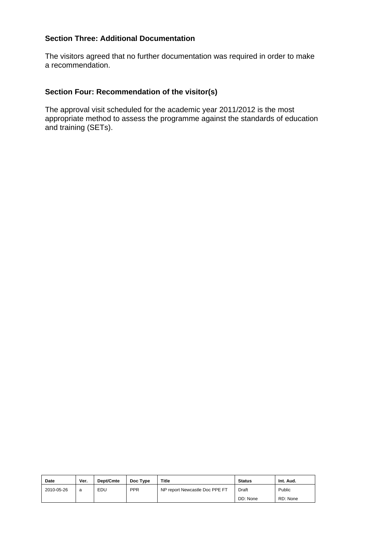The visitors agreed that no further documentation was required in order to make a recommendation.

#### **Section Four: Recommendation of the visitor(s)**

| <b>Date</b> | Ver. | Dept/Cmte | Doc Type   | <b>Title</b>                   | <b>Status</b> | Int. Aud. |
|-------------|------|-----------|------------|--------------------------------|---------------|-----------|
| 2010-05-26  | a    | EDU       | <b>PPR</b> | NP report Newcastle Doc PPE FT | Draft         | Public    |
|             |      |           |            |                                | DD: None      | RD: None  |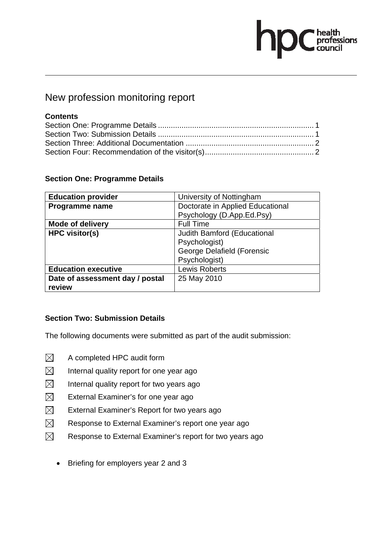# **C** health<br>C council

### New profession monitoring report

#### **Contents**

#### **Section One: Programme Details**

| <b>Education provider</b>       | University of Nottingham         |
|---------------------------------|----------------------------------|
| Programme name                  | Doctorate in Applied Educational |
|                                 | Psychology (D.App.Ed.Psy)        |
| <b>Mode of delivery</b>         | <b>Full Time</b>                 |
| <b>HPC visitor(s)</b>           | Judith Bamford (Educational      |
|                                 | Psychologist)                    |
|                                 | George Delafield (Forensic       |
|                                 | Psychologist)                    |
| <b>Education executive</b>      | <b>Lewis Roberts</b>             |
| Date of assessment day / postal | 25 May 2010                      |
| review                          |                                  |

#### **Section Two: Submission Details**

- $\boxtimes$  A completed HPC audit form
- $\boxtimes$  Internal quality report for one year ago
- $\boxtimes$  Internal quality report for two years ago
- $\boxtimes$  External Examiner's for one year ago
- $\boxtimes$  External Examiner's Report for two years ago
- $\boxtimes$  Response to External Examiner's report one year ago
- $\boxtimes$  Response to External Examiner's report for two years ago
	- Briefing for employers year 2 and 3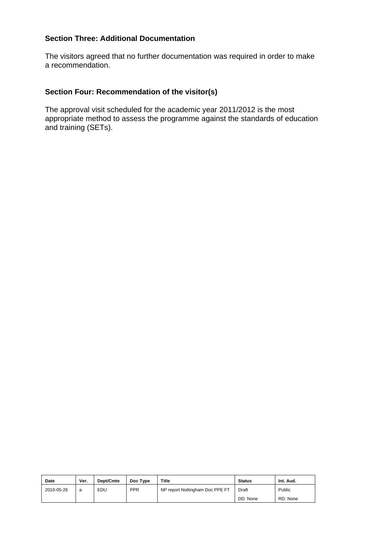The visitors agreed that no further documentation was required in order to make a recommendation.

#### **Section Four: Recommendation of the visitor(s)**

| <b>Date</b> | Ver. | Dept/Cmte | Doc Type   | <b>Title</b>                    | <b>Status</b> | Int. Aud. |
|-------------|------|-----------|------------|---------------------------------|---------------|-----------|
| 2010-05-26  | a    | EDU       | <b>PPR</b> | NP report Nottingham Doc PPE FT | Draft         | Public    |
|             |      |           |            |                                 | DD: None      | RD: None  |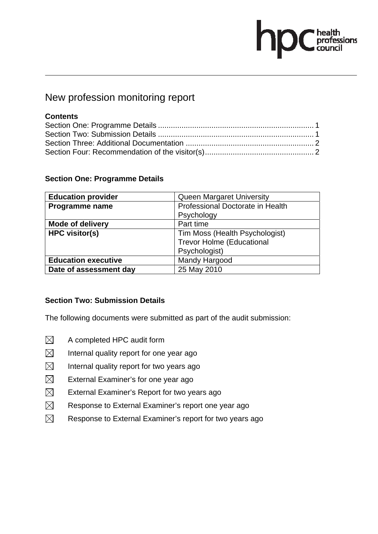# $\begin{tabular}{|c|c|} \hline healthprofessionscountil \\ \hline \end{tabular}$

### New profession monitoring report

#### **Contents**

#### **Section One: Programme Details**

| <b>Education provider</b>  | Queen Margaret University        |
|----------------------------|----------------------------------|
| Programme name             | Professional Doctorate in Health |
|                            | Psychology                       |
| <b>Mode of delivery</b>    | Part time                        |
| <b>HPC visitor(s)</b>      | Tim Moss (Health Psychologist)   |
|                            | <b>Trevor Holme (Educational</b> |
|                            | Psychologist)                    |
| <b>Education executive</b> | Mandy Hargood                    |
| Date of assessment day     | 25 May 2010                      |

#### **Section Two: Submission Details**

- $\boxtimes$  A completed HPC audit form
- $\boxtimes$  Internal quality report for one year ago
- $\boxtimes$  Internal quality report for two years ago
- $\boxtimes$  External Examiner's for one year ago
- $\boxtimes$  External Examiner's Report for two years ago
- $\boxtimes$  Response to External Examiner's report one year ago
- $\boxtimes$  Response to External Examiner's report for two years ago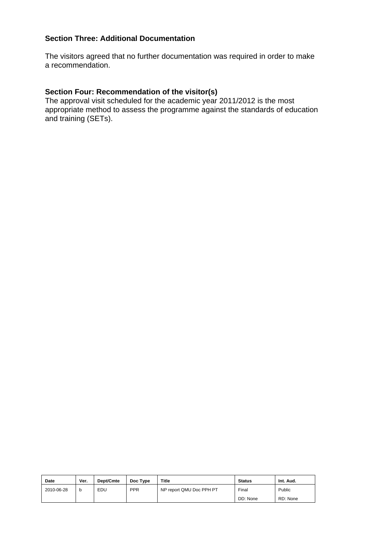The visitors agreed that no further documentation was required in order to make a recommendation.

#### **Section Four: Recommendation of the visitor(s)**

| Date       | Ver. | Dept/Cmte | Doc Type   | <b>Title</b>             | <b>Status</b> | Int. Aud. |
|------------|------|-----------|------------|--------------------------|---------------|-----------|
| 2010-06-28 | b    | EDU       | <b>PPR</b> | NP report QMU Doc PPH PT | Final         | Public    |
|            |      |           |            |                          | DD: None      | RD: None  |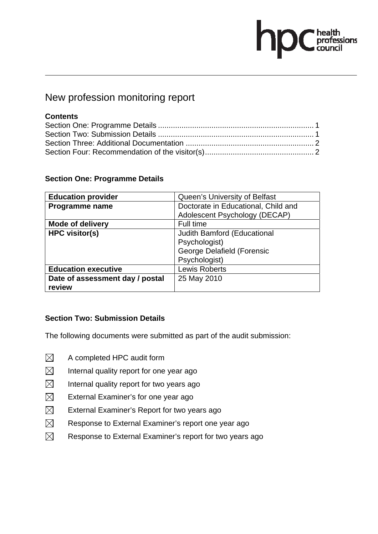# $\sum$ C health<br>council

### New profession monitoring report

#### **Contents**

#### **Section One: Programme Details**

| <b>Education provider</b>       | Queen's University of Belfast       |
|---------------------------------|-------------------------------------|
| Programme name                  | Doctorate in Educational, Child and |
|                                 | Adolescent Psychology (DECAP)       |
| <b>Mode of delivery</b>         | Full time                           |
| <b>HPC visitor(s)</b>           | Judith Bamford (Educational         |
|                                 | Psychologist)                       |
|                                 | George Delafield (Forensic          |
|                                 | Psychologist)                       |
| <b>Education executive</b>      | <b>Lewis Roberts</b>                |
| Date of assessment day / postal | 25 May 2010                         |
| review                          |                                     |

#### **Section Two: Submission Details**

- $\boxtimes$  A completed HPC audit form
- $\boxtimes$  Internal quality report for one year ago
- $\boxtimes$  Internal quality report for two years ago
- $\boxtimes$  External Examiner's for one year ago
- $\boxtimes$  External Examiner's Report for two years ago
- $\boxtimes$  Response to External Examiner's report one year ago
- $\boxtimes$  Response to External Examiner's report for two years ago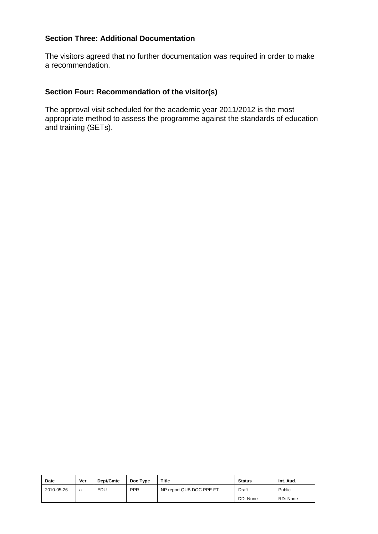The visitors agreed that no further documentation was required in order to make a recommendation.

#### **Section Four: Recommendation of the visitor(s)**

| Date       | Ver. | Dept/Cmte | Doc Type   | <b>Title</b>             | <b>Status</b> | Int. Aud. |
|------------|------|-----------|------------|--------------------------|---------------|-----------|
| 2010-05-26 | a    | EDU       | <b>PPR</b> | NP report QUB DOC PPE FT | Draft         | Public    |
|            |      |           |            |                          | DD: None      | RD: None  |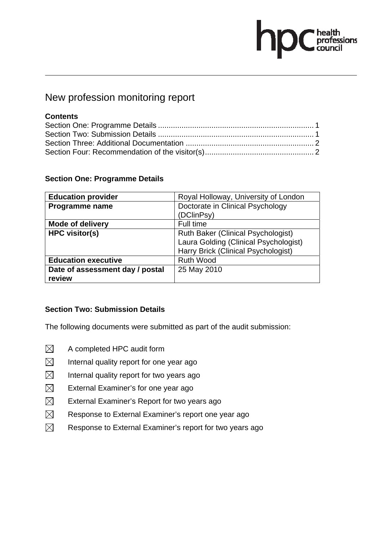# **OC** health<br>council

### New profession monitoring report

#### **Contents**

#### **Section One: Programme Details**

| <b>Education provider</b>       | Royal Holloway, University of London      |
|---------------------------------|-------------------------------------------|
| Programme name                  | Doctorate in Clinical Psychology          |
|                                 | (DClinPsy)                                |
| <b>Mode of delivery</b>         | Full time                                 |
| <b>HPC visitor(s)</b>           | <b>Ruth Baker (Clinical Psychologist)</b> |
|                                 | Laura Golding (Clinical Psychologist)     |
|                                 | Harry Brick (Clinical Psychologist)       |
| <b>Education executive</b>      | <b>Ruth Wood</b>                          |
| Date of assessment day / postal | 25 May 2010                               |
| review                          |                                           |

#### **Section Two: Submission Details**

- $\boxtimes$  A completed HPC audit form
- $\boxtimes$  Internal quality report for one year ago
- $\boxtimes$  Internal quality report for two years ago
- $\boxtimes$  External Examiner's for one year ago
- $\boxtimes$  External Examiner's Report for two years ago
- $\boxtimes$  Response to External Examiner's report one year ago
- $\boxtimes$  Response to External Examiner's report for two years ago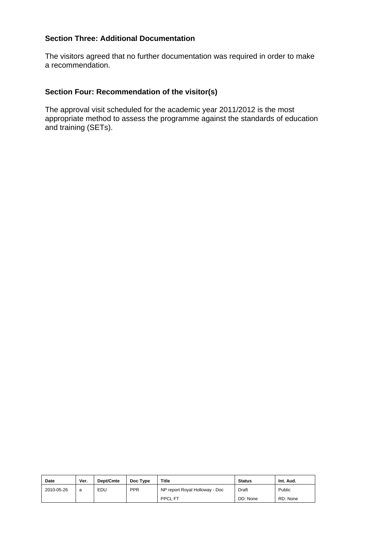The visitors agreed that no further documentation was required in order to make a recommendation.

#### **Section Four: Recommendation of the visitor(s)**

| Date       | Ver. | Dept/Cmte | Doc Type   | <b>Title</b>                   | <b>Status</b> | Int. Aud. |
|------------|------|-----------|------------|--------------------------------|---------------|-----------|
| 2010-05-26 | a    | EDU       | <b>PPR</b> | NP report Royal Holloway - Doc | Draft         | Public    |
|            |      |           |            | <b>PPCL FT</b>                 | DD: None      | RD: None  |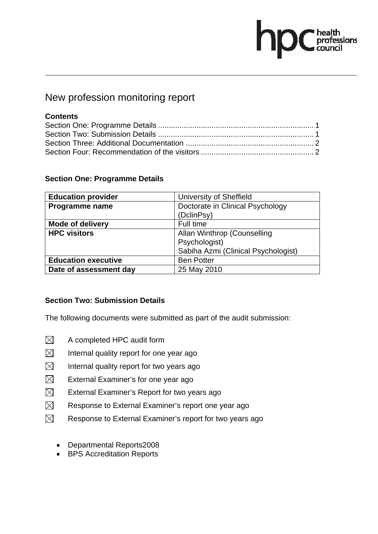# health<br>professions<br>council

### New profession monitoring report

#### **Contents**

#### **Section One: Programme Details**

| <b>Education provider</b>  | University of Sheffield             |  |
|----------------------------|-------------------------------------|--|
| Programme name             | Doctorate in Clinical Psychology    |  |
|                            | (DclinPsy)                          |  |
| <b>Mode of delivery</b>    | Full time                           |  |
| <b>HPC visitors</b>        | Allan Winthrop (Counselling         |  |
|                            | Psychologist)                       |  |
|                            | Sabiha Azmi (Clinical Psychologist) |  |
| <b>Education executive</b> | <b>Ben Potter</b>                   |  |
| Date of assessment day     | 25 May 2010                         |  |

#### **Section Two: Submission Details**

- $\boxtimes$  A completed HPC audit form
- $\boxtimes$  Internal quality report for one year ago
- $\boxtimes$  Internal quality report for two years ago
- $\boxtimes$  External Examiner's for one year ago
- $\boxtimes$  External Examiner's Report for two years ago
- $\boxtimes$  Response to External Examiner's report one year ago
- $\boxtimes$  Response to External Examiner's report for two years ago
	- Departmental Reports2008
	- BPS Accreditation Reports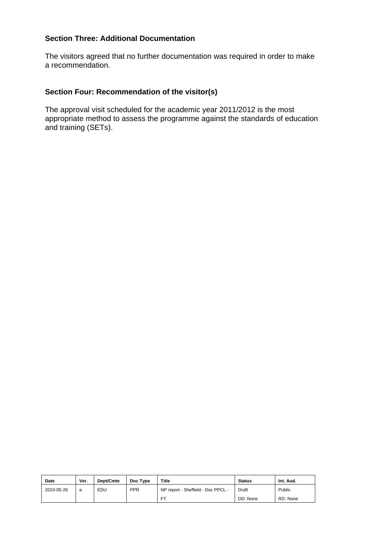The visitors agreed that no further documentation was required in order to make a recommendation.

#### **Section Four: Recommendation of the visitor(s)**

| <b>Date</b> | Ver. | Dept/Cmte | Doc Type   | <b>Title</b>                       | <b>Status</b> | Int. Aud. |
|-------------|------|-----------|------------|------------------------------------|---------------|-----------|
| 2010-05-26  | a    | EDU       | <b>PPR</b> | NP report - Sheffield - Doc PPCL - | Draft         | Public    |
|             |      |           |            | ET.                                | DD: None      | RD: None  |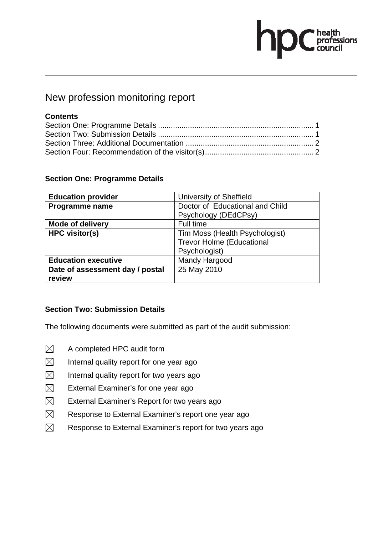# **OC** health<br>council

### New profession monitoring report

#### **Contents**

#### **Section One: Programme Details**

| <b>Education provider</b>       | University of Sheffield          |
|---------------------------------|----------------------------------|
| Programme name                  | Doctor of Educational and Child  |
|                                 | Psychology (DEdCPsy)             |
| <b>Mode of delivery</b>         | Full time                        |
| <b>HPC visitor(s)</b>           | Tim Moss (Health Psychologist)   |
|                                 | <b>Trevor Holme (Educational</b> |
|                                 | Psychologist)                    |
| <b>Education executive</b>      | Mandy Hargood                    |
| Date of assessment day / postal | 25 May 2010                      |
| review                          |                                  |

#### **Section Two: Submission Details**

- $\boxtimes$  A completed HPC audit form
- $\boxtimes$  Internal quality report for one year ago
- $\boxtimes$  Internal quality report for two years ago
- $\boxtimes$  External Examiner's for one year ago
- $\boxtimes$  External Examiner's Report for two years ago
- $\boxtimes$  Response to External Examiner's report one year ago
- $\boxtimes$  Response to External Examiner's report for two years ago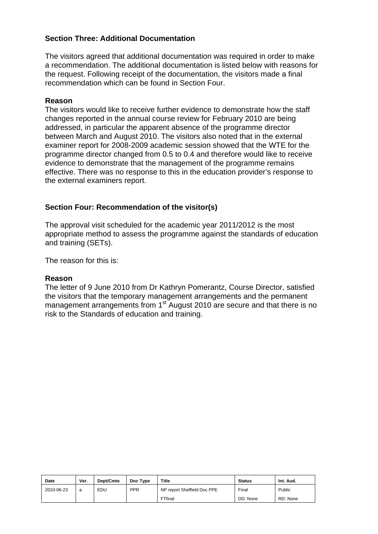The visitors agreed that additional documentation was required in order to make a recommendation. The additional documentation is listed below with reasons for the request. Following receipt of the documentation, the visitors made a final recommendation which can be found in Section Four.

#### **Reason**

The visitors would like to receive further evidence to demonstrate how the staff changes reported in the annual course review for February 2010 are being addressed, in particular the apparent absence of the programme director between March and August 2010. The visitors also noted that in the external examiner report for 2008-2009 academic session showed that the WTE for the programme director changed from 0.5 to 0.4 and therefore would like to receive evidence to demonstrate that the management of the programme remains effective. There was no response to this in the education provider's response to the external examiners report.

#### **Section Four: Recommendation of the visitor(s)**

The approval visit scheduled for the academic year 2011/2012 is the most appropriate method to assess the programme against the standards of education and training (SETs).

The reason for this is:

#### **Reason**

The letter of 9 June 2010 from Dr Kathryn Pomerantz, Course Director, satisfied the visitors that the temporary management arrangements and the permanent management arrangements from 1<sup>st</sup> August 2010 are secure and that there is no risk to the Standards of education and training.

| Date       | Ver. | Dept/Cmte | Doc Type   | <b>Title</b>                | <b>Status</b> | Int. Aud. |
|------------|------|-----------|------------|-----------------------------|---------------|-----------|
| 2010-06-23 | a    | EDU       | <b>PPR</b> | NP report Sheffield Doc PPE | Final         | Public    |
|            |      |           |            | FTfinal                     | DD: None      | RD: None  |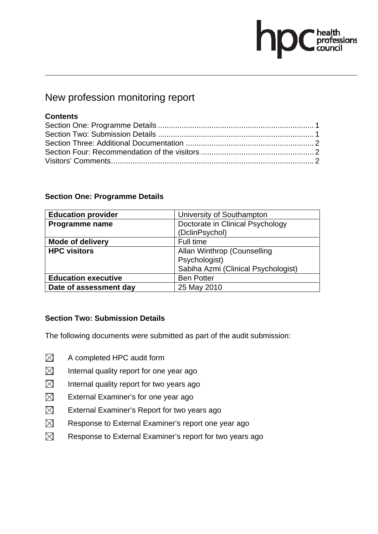# health<br>professions<br>council

### New profession monitoring report

#### **Contents**

#### **Section One: Programme Details**

| <b>Education provider</b>  | University of Southampton           |  |  |  |
|----------------------------|-------------------------------------|--|--|--|
| Programme name             | Doctorate in Clinical Psychology    |  |  |  |
|                            | (DclinPsychol)                      |  |  |  |
| <b>Mode of delivery</b>    | Full time                           |  |  |  |
| <b>HPC visitors</b>        | Allan Winthrop (Counselling         |  |  |  |
|                            | Psychologist)                       |  |  |  |
|                            | Sabiha Azmi (Clinical Psychologist) |  |  |  |
| <b>Education executive</b> | <b>Ben Potter</b>                   |  |  |  |
| Date of assessment day     | 25 May 2010                         |  |  |  |

#### **Section Two: Submission Details**

- $\boxtimes$  A completed HPC audit form
- $\boxtimes$  Internal quality report for one year ago
- $\boxtimes$  Internal quality report for two years ago
- $\boxtimes$  External Examiner's for one year ago
- $\boxtimes$  External Examiner's Report for two years ago
- $\boxtimes$  Response to External Examiner's report one year ago
- $\boxtimes$  Response to External Examiner's report for two years ago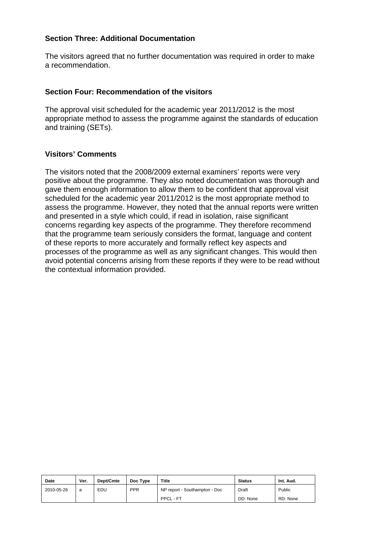The visitors agreed that no further documentation was required in order to make a recommendation.

#### **Section Four: Recommendation of the visitors**

The approval visit scheduled for the academic year 2011/2012 is the most appropriate method to assess the programme against the standards of education and training (SETs).

#### **Visitors' Comments**

The visitors noted that the 2008/2009 external examiners' reports were very positive about the programme. They also noted documentation was thorough and gave them enough information to allow them to be confident that approval visit scheduled for the academic year 2011/2012 is the most appropriate method to assess the programme. However, they noted that the annual reports were written and presented in a style which could, if read in isolation, raise significant concerns regarding key aspects of the programme. They therefore recommend that the programme team seriously considers the format, language and content of these reports to more accurately and formally reflect key aspects and processes of the programme as well as any significant changes. This would then avoid potential concerns arising from these reports if they were to be read without the contextual information provided.

| Date       | Ver. | Dept/Cmte | Doc Type   | <b>Title</b>                  | <b>Status</b> | Int. Aud. |
|------------|------|-----------|------------|-------------------------------|---------------|-----------|
| 2010-05-26 | a    | EDU       | <b>PPR</b> | NP report - Southampton - Doc | Draft         | Public    |
|            |      |           |            | PPCL - FT                     | DD: None      | RD: None  |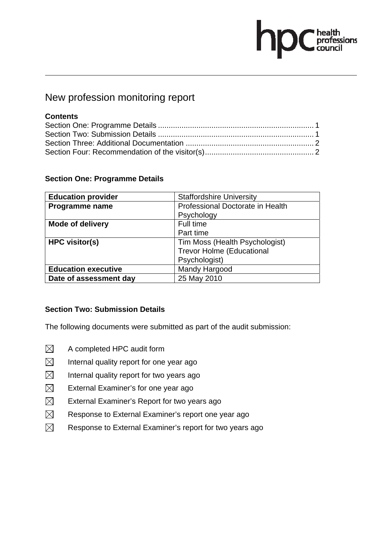# *C* health<br>professions<br>council

### New profession monitoring report

#### **Contents**

#### **Section One: Programme Details**

| <b>Education provider</b>  | <b>Staffordshire University</b>  |
|----------------------------|----------------------------------|
| Programme name             | Professional Doctorate in Health |
|                            | Psychology                       |
| <b>Mode of delivery</b>    | Full time                        |
|                            | Part time                        |
| <b>HPC visitor(s)</b>      | Tim Moss (Health Psychologist)   |
|                            | <b>Trevor Holme (Educational</b> |
|                            | Psychologist)                    |
| <b>Education executive</b> | Mandy Hargood                    |
| Date of assessment day     | 25 May 2010                      |

#### **Section Two: Submission Details**

- $\boxtimes$  A completed HPC audit form
- $\boxtimes$  Internal quality report for one year ago
- $\boxtimes$  Internal quality report for two years ago
- $\boxtimes$  External Examiner's for one year ago
- $\boxtimes$  External Examiner's Report for two years ago
- $\boxtimes$  Response to External Examiner's report one year ago
- $\boxtimes$  Response to External Examiner's report for two years ago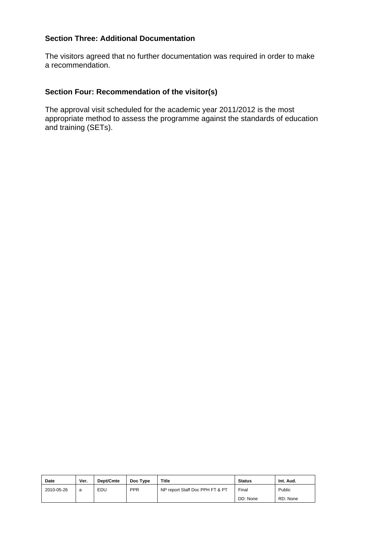The visitors agreed that no further documentation was required in order to make a recommendation.

#### **Section Four: Recommendation of the visitor(s)**

| <b>Date</b> | Ver. | Dept/Cmte | Doc Type   | <b>Title</b>                    | <b>Status</b> | Int. Aud. |
|-------------|------|-----------|------------|---------------------------------|---------------|-----------|
| 2010-05-26  | a    | EDU       | <b>PPR</b> | NP report Staff Doc PPH FT & PT | Final         | Public    |
|             |      |           |            |                                 | DD: None      | RD: None  |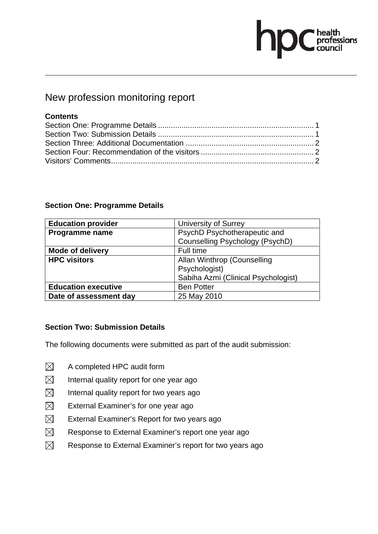# $\begin{tabular}{|c|c|} \hline healthprofessionscountil \\ \hline \end{tabular}$

### New profession monitoring report

#### **Contents**

#### **Section One: Programme Details**

| <b>Education provider</b>  | <b>University of Surrey</b>         |
|----------------------------|-------------------------------------|
| Programme name             | PsychD Psychotherapeutic and        |
|                            | Counselling Psychology (PsychD)     |
| <b>Mode of delivery</b>    | Full time                           |
| <b>HPC visitors</b>        | Allan Winthrop (Counselling         |
|                            | Psychologist)                       |
|                            | Sabiha Azmi (Clinical Psychologist) |
| <b>Education executive</b> | <b>Ben Potter</b>                   |
| Date of assessment day     | 25 May 2010                         |

#### **Section Two: Submission Details**

- $\boxtimes$  A completed HPC audit form
- $\boxtimes$  Internal quality report for one year ago
- $\boxtimes$  Internal quality report for two years ago
- $\boxtimes$  External Examiner's for one year ago
- $\boxtimes$  External Examiner's Report for two years ago
- $\boxtimes$  Response to External Examiner's report one year ago
- $\boxtimes$  Response to External Examiner's report for two years ago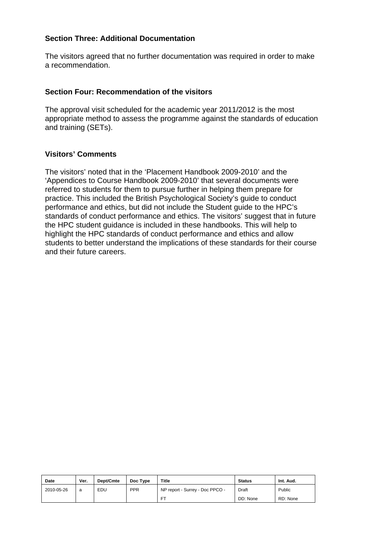The visitors agreed that no further documentation was required in order to make a recommendation.

#### **Section Four: Recommendation of the visitors**

The approval visit scheduled for the academic year 2011/2012 is the most appropriate method to assess the programme against the standards of education and training (SETs).

#### **Visitors' Comments**

The visitors' noted that in the 'Placement Handbook 2009-2010' and the 'Appendices to Course Handbook 2009-2010' that several documents were referred to students for them to pursue further in helping them prepare for practice. This included the British Psychological Society's guide to conduct performance and ethics, but did not include the Student guide to the HPC's standards of conduct performance and ethics. The visitors' suggest that in future the HPC student guidance is included in these handbooks. This will help to highlight the HPC standards of conduct performance and ethics and allow students to better understand the implications of these standards for their course and their future careers.

| <b>Date</b> | Ver. | Dept/Cmte | Doc Type   | <b>Title</b>                    | <b>Status</b> | Int. Aud. |
|-------------|------|-----------|------------|---------------------------------|---------------|-----------|
| 2010-05-26  | a    | EDU       | <b>PPR</b> | NP report - Surrey - Doc PPCO - | Draft         | Public    |
|             |      |           |            | <b>FT</b>                       | DD: None      | RD: None  |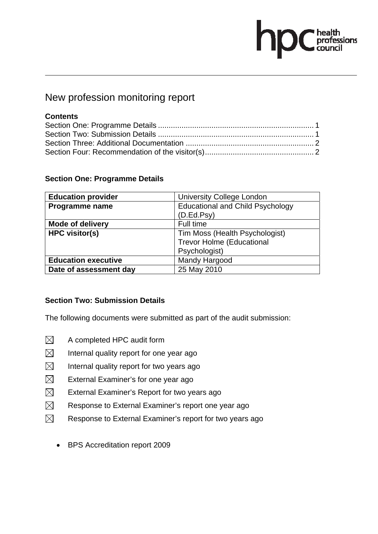# $\begin{tabular}{|c|c|} \hline healthprofessionscountil \\ \hline \end{tabular}$

### New profession monitoring report

#### **Contents**

#### **Section One: Programme Details**

| <b>Education provider</b>  | <b>University College London</b>        |
|----------------------------|-----------------------------------------|
| Programme name             | <b>Educational and Child Psychology</b> |
|                            | (D.Ed.Psy)                              |
| <b>Mode of delivery</b>    | Full time                               |
| <b>HPC visitor(s)</b>      | Tim Moss (Health Psychologist)          |
|                            | <b>Trevor Holme (Educational</b>        |
|                            | Psychologist)                           |
| <b>Education executive</b> | Mandy Hargood                           |
| Date of assessment day     | 25 May 2010                             |

#### **Section Two: Submission Details**

- $\boxtimes$  A completed HPC audit form
- $\boxtimes$  Internal quality report for one year ago
- $\boxtimes$  Internal quality report for two years ago
- $\boxtimes$  External Examiner's for one year ago
- $\boxtimes$  External Examiner's Report for two years ago
- $\boxtimes$  Response to External Examiner's report one year ago
- $\boxtimes$  Response to External Examiner's report for two years ago
	- BPS Accreditation report 2009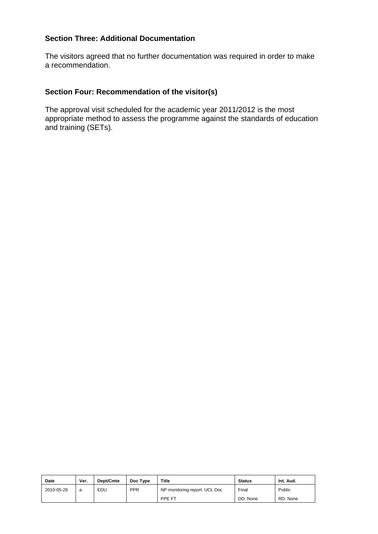The visitors agreed that no further documentation was required in order to make a recommendation.

#### **Section Four: Recommendation of the visitor(s)**

| Date       | Ver. | Dept/Cmte | Doc Type   | <b>Title</b>                  | <b>Status</b> | Int. Aud. |
|------------|------|-----------|------------|-------------------------------|---------------|-----------|
| 2010-05-26 | a    | EDU       | <b>PPR</b> | NP monitoring report: UCL Doc | Final         | Public    |
|            |      |           |            | PPE FT                        | DD: None      | RD: None  |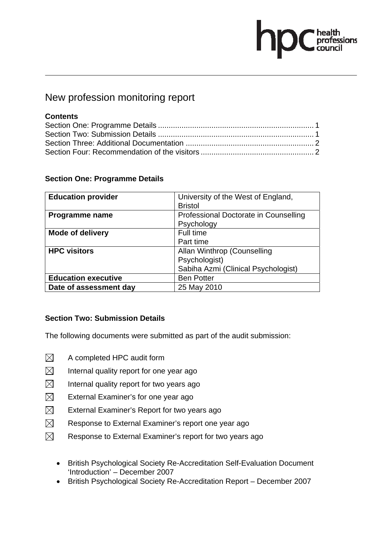# health<br>professions<br>council

### New profession monitoring report

#### **Contents**

#### **Section One: Programme Details**

| <b>Education provider</b>  | University of the West of England,<br><b>Bristol</b> |
|----------------------------|------------------------------------------------------|
| Programme name             | Professional Doctorate in Counselling<br>Psychology  |
| <b>Mode of delivery</b>    | Full time                                            |
|                            | Part time                                            |
| <b>HPC visitors</b>        | Allan Winthrop (Counselling                          |
|                            | Psychologist)                                        |
|                            | Sabiha Azmi (Clinical Psychologist)                  |
| <b>Education executive</b> | <b>Ben Potter</b>                                    |
| Date of assessment day     | 25 May 2010                                          |

#### **Section Two: Submission Details**

- $\boxtimes$  A completed HPC audit form
- $\boxtimes$  Internal quality report for one year ago
- $\boxtimes$  Internal quality report for two years ago
- $\boxtimes$  External Examiner's for one year ago
- $\boxtimes$  External Examiner's Report for two years ago
- $\boxtimes$  Response to External Examiner's report one year ago
- $\boxtimes$  Response to External Examiner's report for two years ago
	- British Psychological Society Re-Accreditation Self-Evaluation Document 'Introduction' – December 2007
	- British Psychological Society Re-Accreditation Report December 2007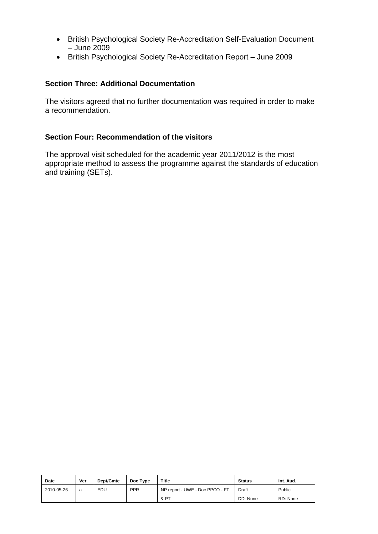- British Psychological Society Re-Accreditation Self-Evaluation Document – June 2009
- British Psychological Society Re-Accreditation Report June 2009

The visitors agreed that no further documentation was required in order to make a recommendation.

#### **Section Four: Recommendation of the visitors**

| Date       | Ver. | Dept/Cmte | Doc Type | <b>Title</b>                    | <b>Status</b> | Int. Aud. |
|------------|------|-----------|----------|---------------------------------|---------------|-----------|
| 2010-05-26 | a    | EDU       | PPR      | NP report - UWE - Doc PPCO - FT | Draft         | Public    |
|            |      |           |          | & PT                            | DD: None      | RD: None  |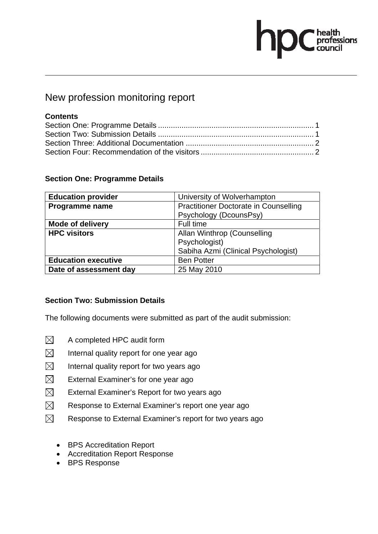# health<br>professions<br>council

### New profession monitoring report

#### **Contents**

#### **Section One: Programme Details**

| <b>Education provider</b>  | University of Wolverhampton                  |  |  |
|----------------------------|----------------------------------------------|--|--|
| Programme name             | <b>Practitioner Doctorate in Counselling</b> |  |  |
|                            | Psychology (DcounsPsy)                       |  |  |
| <b>Mode of delivery</b>    | Full time                                    |  |  |
| <b>HPC visitors</b>        | Allan Winthrop (Counselling                  |  |  |
|                            | Psychologist)                                |  |  |
|                            | Sabiha Azmi (Clinical Psychologist)          |  |  |
| <b>Education executive</b> | <b>Ben Potter</b>                            |  |  |
| Date of assessment day     | 25 May 2010                                  |  |  |

#### **Section Two: Submission Details**

- $\boxtimes$  A completed HPC audit form
- $\boxtimes$  Internal quality report for one year ago
- $\boxtimes$  Internal quality report for two years ago
- $\boxtimes$  External Examiner's for one year ago
- $\boxtimes$  External Examiner's Report for two years ago
- $\boxtimes$  Response to External Examiner's report one year ago
- $\boxtimes$  Response to External Examiner's report for two years ago
	- BPS Accreditation Report
	- Accreditation Report Response
	- BPS Response